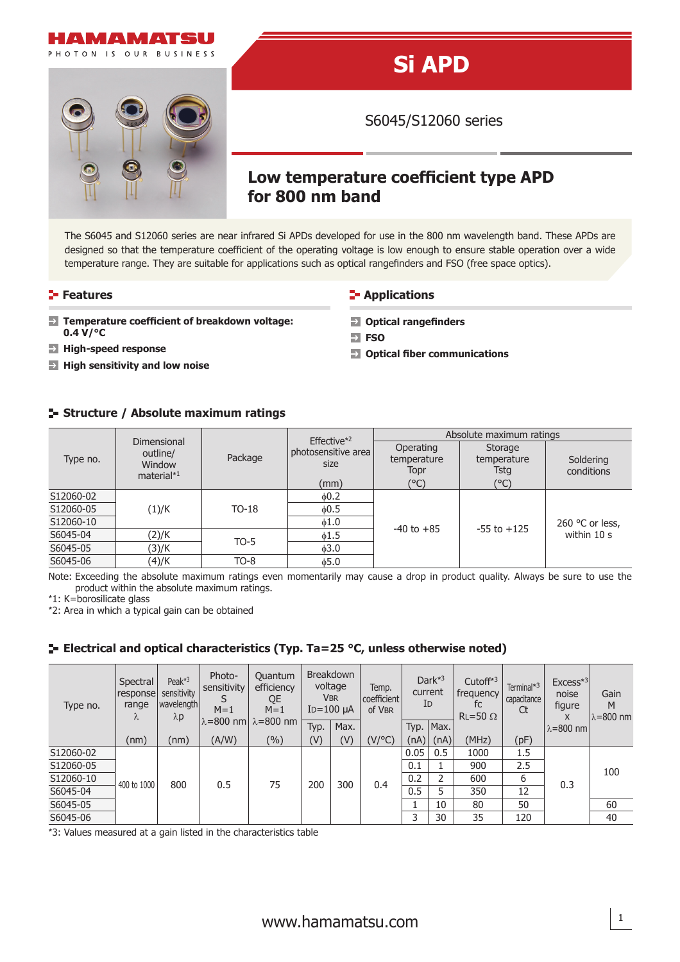

# **Si APD**

S6045/S12060 series

 $\rightarrow$  Optical fiber communications

 $\rightarrow$  Optical rangefinders

## **Low temperature coefficient type APD for 800 nm band**

The S6045 and S12060 series are near infrared Si APDs developed for use in the 800 nm wavelength band. These APDs are designed so that the temperature coefficient of the operating voltage is low enough to ensure stable operation over a wide temperature range. They are suitable for applications such as optical rangefinders and FSO (free space optics).

 $\Rightarrow$ **FSO** 

#### **Features CONSISTENT IN Applications**

- **Temperature coefficient of breakdown voltage:**  $\Rightarrow$ **0.4 V/°C**
- **High-speed response**
- **High sensitivity and low noise**

#### **Structure / Absolute maximum ratings**

|           |                                                    |         | Effective $*2$              | Absolute maximum ratings         |                                |                         |  |  |  |
|-----------|----------------------------------------------------|---------|-----------------------------|----------------------------------|--------------------------------|-------------------------|--|--|--|
| Type no.  | Dimensional<br>outline/<br>Window<br>material $*1$ | Package | photosensitive area<br>size | Operating<br>temperature<br>Topr | Storage<br>temperature<br>Tstg | Soldering<br>conditions |  |  |  |
|           |                                                    |         | (mm)                        | (°C)                             | $(^{\circ}C)$                  |                         |  |  |  |
| S12060-02 |                                                    |         |                             |                                  |                                |                         |  |  |  |
| S12060-05 | (1)/K                                              | $TO-18$ | $\phi$ 0.5                  |                                  |                                | 260 °C or less,         |  |  |  |
| S12060-10 |                                                    |         | $\phi$ 1.0                  | $-40$ to $+85$                   | $-55$ to $+125$                |                         |  |  |  |
| S6045-04  | (2)/K                                              | $TO-5$  | $\phi$ 1.5                  |                                  |                                | within 10 s             |  |  |  |
| S6045-05  | (3)/K                                              |         | $\phi$ 3.0                  |                                  |                                |                         |  |  |  |
| S6045-06  | (4)/K                                              | $TO-8$  | $\phi$ 5.0                  |                                  |                                |                         |  |  |  |

Note: Exceeding the absolute maximum ratings even momentarily may cause a drop in product quality. Always be sure to use the product within the absolute maximum ratings.

\*1: K=borosilicate glass

\*2: Area in which a typical gain can be obtained

#### **Electrical and optical characteristics (Typ. Ta=25 °C, unless otherwise noted)**

| Type no.  | Spectral<br>response<br>range<br>λ | Peak $*3$<br>sensitivity<br>  wavelength  <br>$\lambda p$ | Photo-<br>sensitivity<br>$M=1$ | Quantum<br>efficiency<br>QE<br>$M=1$<br>$\lambda = 800$ nm $\lambda = 800$ nm | <b>Breakdown</b><br>voltage<br><b>VBR</b><br>$ID=100 \mu A$ |      | Temp.<br>coefficient<br>of VBR | Dar $k^{*3}$<br>current<br>ID |      | Cutoff $*3$<br>frequency<br>fc<br>Ct<br>$RL = 50 \Omega$ | Terminal* <sup>3</sup><br>capacitance | $Excess*3$<br>noise<br>figure<br>X | Gain<br>M<br>$\lambda = 800$ nm |
|-----------|------------------------------------|-----------------------------------------------------------|--------------------------------|-------------------------------------------------------------------------------|-------------------------------------------------------------|------|--------------------------------|-------------------------------|------|----------------------------------------------------------|---------------------------------------|------------------------------------|---------------------------------|
|           |                                    |                                                           |                                |                                                                               | Typ.                                                        | Max. |                                | Typ.                          | Max. |                                                          |                                       | l λ=800 nm l                       |                                 |
|           | (nm)                               | (nm)                                                      | (A/W)                          | (%)                                                                           | $(\mathsf{V})$                                              | (V)  | (V/°C)                         | (nA)                          | (nA) | (MHz)                                                    | (pF)                                  |                                    |                                 |
| S12060-02 | 400 to 1000                        | 800                                                       |                                | 75<br>0.5                                                                     | 200                                                         | 300  | 0.4                            | 0.05                          | 0.5  | 1000                                                     | 1.5                                   | 0.3                                | 100                             |
| S12060-05 |                                    |                                                           |                                |                                                                               |                                                             |      |                                | 0.1                           |      | 900                                                      | 2.5                                   |                                    |                                 |
| S12060-10 |                                    |                                                           |                                |                                                                               |                                                             |      |                                | 0.2                           | 2    | 600                                                      | 6                                     |                                    |                                 |
| S6045-04  |                                    |                                                           |                                |                                                                               |                                                             |      |                                | 0.5                           | 5    | 350                                                      | 12                                    |                                    |                                 |
| S6045-05  |                                    |                                                           |                                |                                                                               |                                                             |      |                                |                               | 10   | 80                                                       | 50                                    |                                    | 60                              |
| S6045-06  |                                    |                                                           |                                |                                                                               |                                                             |      |                                | 3                             | 30   | 35                                                       | 120                                   |                                    | 40                              |

\*3: Values measured at a gain listed in the characteristics table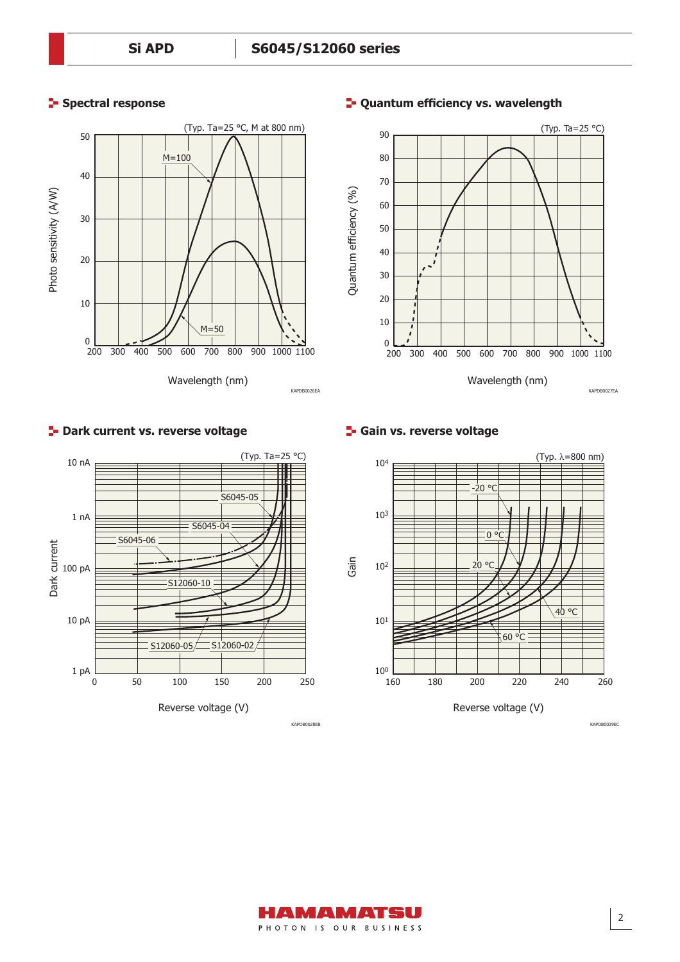### **Spectral response**

10 nA





#### **<sup>1</sup>- Quantum efficiency vs. wavelength**

#### **F** Gain vs. reverse voltage



## Reverse voltage (V) Dark current 0 50 100 150 200 Dark Current<br>Dark<br>Dan pa 1 pA 1 nA 10 pA S6045-05 250 S6045-04 S6045-06 S12060-10  $S12060-05$  S12060-02 KAPDB0028EB

**P** Dark current vs. reverse voltage

(Typ. Ta=25 °C)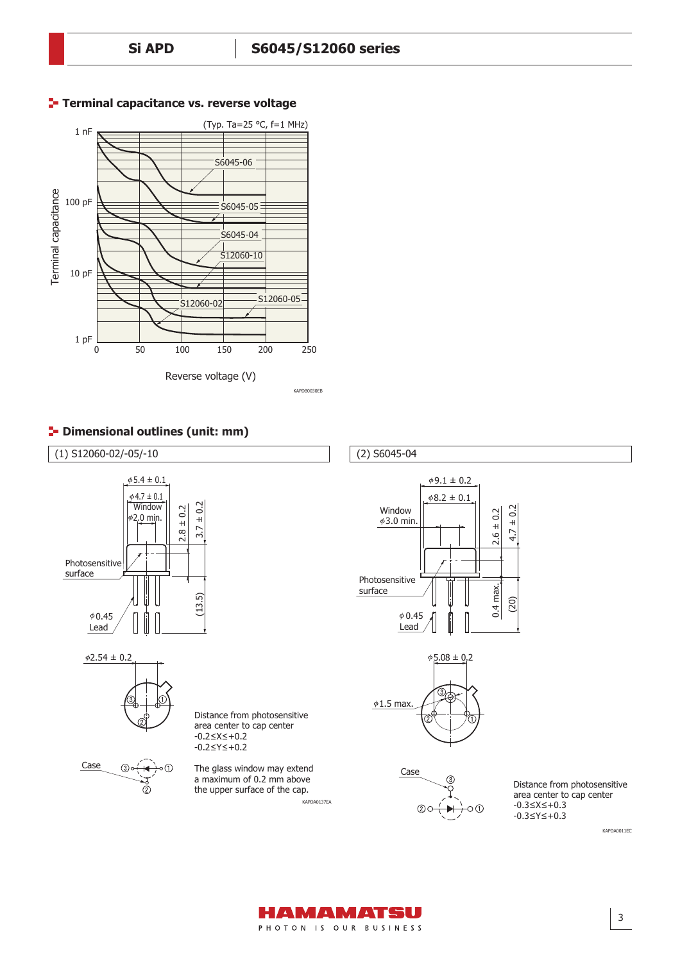

#### **Terminal capacitance vs. reverse voltage**





HAMAMATSU PHOTON IS OUR BUSINESS

3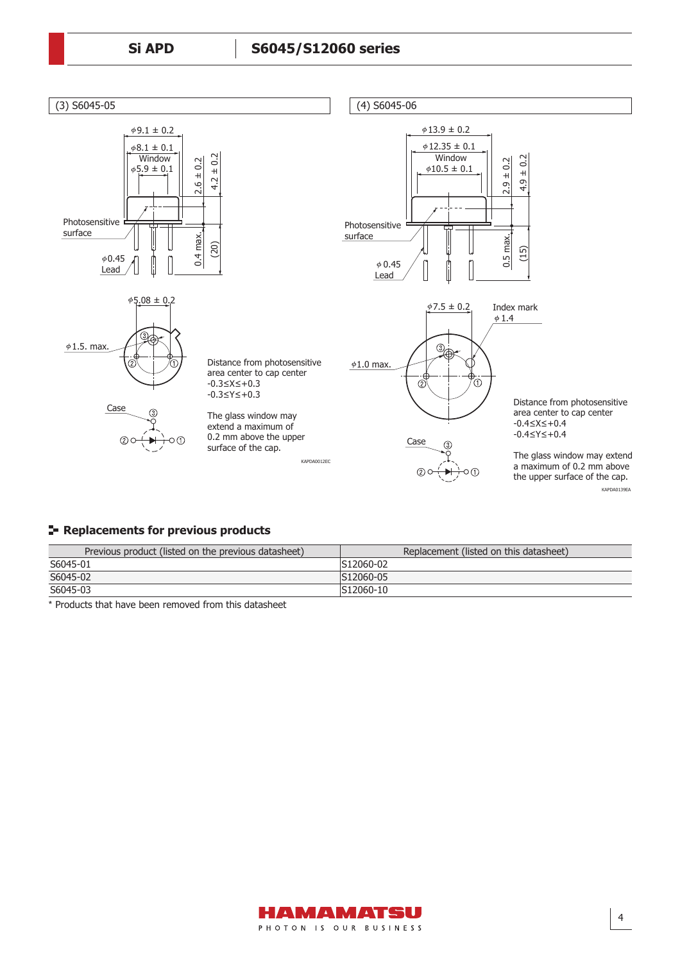

#### **Replacements for previous products**

| Previous product (listed on the previous datasheet) | Replacement (listed on this datasheet) |
|-----------------------------------------------------|----------------------------------------|
| S6045-01                                            | S12060-02                              |
| S6045-02                                            | S12060-05                              |
| S6045-03                                            | S12060-10                              |

\* Products that have been removed from this datasheet